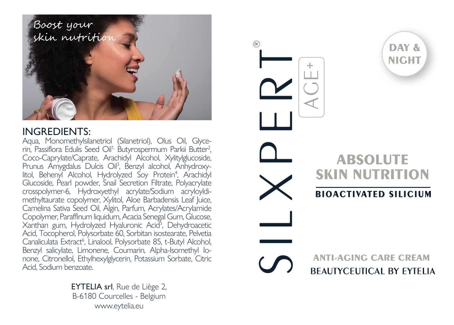

### INGREDIENTS:

Aqua, Monomethylsilanetriol (Silanetriol), Olus Oil, Glycerin, Passiflora Edulis Seed Oil<sup>1,</sup> Butyrospermum Parkii Butter<sup>2</sup>, Coco-Caprylate/Caprate, Arachidyl Alcohol, Xylitylglucoside, Prunus Amygdalus Dulcis Oil<sup>3</sup>, Benzyl alcohol, Anhydroxylitol, Behenyl Alcohol, Hydrolyzed Soy Protein<sup>4</sup>, Arachidyl Glucoside, Pearl powder, Snail Secretion Filtrate, Polyacrylate crosspolymer-6, Hydroxyethyl acrylate/Sodium acryloyldimethyltaurate copolymer, Xylitol, Aloe Barbadensis Leaf Iuice. Camelina Sativa Seed Oil, Algin, Parfum, Acrylates/Acrylamide Copolymer, Paraffinum liquidum, Acacia Senegal Gum, Glucose, Xanthan gum, Hydrolyzed Hyaluronic Acid5 , Dehydroacetic Acid, Tocopherol, Polysorbate 60, Sorbitan isostearate, Pelvetia Canaliculata Extract<sup>6</sup>, Linalool, Polysorbate 85, t-Butyl Alcohol, Benzyl salicylate, Limonene, Coumarin, Alpha-Isomethyl Ionone, Citronellol, Ethylhexylglycerin, Potassium Sorbate, Citric Acid, Sodium benzoate.

> EYTELIA srl, Rue de Liège 2, B-6180 Courcelles - Belgium www.eytelia.eu